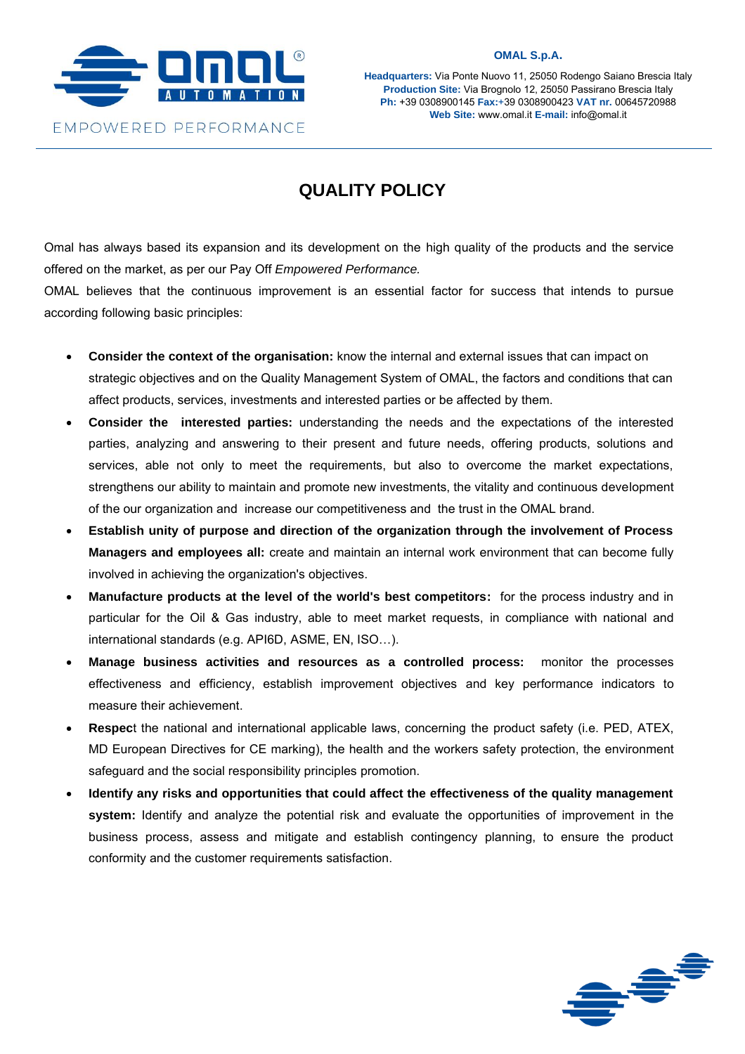

**Headquarters:** Via Ponte Nuovo 11, 25050 Rodengo Saiano Brescia Italy **Production Site:** Via Brognolo 12, 25050 Passirano Brescia Italy **Ph:** +39 0308900145 **Fax:**+39 0308900423 **VAT nr.** 00645720988 **Web Site:** www.omal.it **E-mail:** info@omal.it

## **QUALITY POLICY**

Omal has always based its expansion and its development on the high quality of the products and the service offered on the market, as per our Pay Off *Empowered Performance.*

OMAL believes that the continuous improvement is an essential factor for success that intends to pursue according following basic principles:

- **Consider the context of the organisation:** know the internal and external issues that can impact on strategic objectives and on the Quality Management System of OMAL, the factors and conditions that can affect products, services, investments and interested parties or be affected by them.
- **Consider the interested parties:** understanding the needs and the expectations of the interested parties, analyzing and answering to their present and future needs, offering products, solutions and services, able not only to meet the requirements, but also to overcome the market expectations, strengthens our ability to maintain and promote new investments, the vitality and continuous development of the our organization and increase our competitiveness and the trust in the OMAL brand.
- **Establish unity of purpose and direction of the organization through the involvement of Process Managers and employees all:** create and maintain an internal work environment that can become fully involved in achieving the organization's objectives.
- **Manufacture products at the level of the world's best competitors:** for the process industry and in particular for the Oil & Gas industry, able to meet market requests, in compliance with national and international standards (e.g. API6D, ASME, EN, ISO…).
- **Manage business activities and resources as a controlled process:** monitor the processes effectiveness and efficiency, establish improvement objectives and key performance indicators to measure their achievement.
- **Respec**t the national and international applicable laws, concerning the product safety (i.e. PED, ATEX, MD European Directives for CE marking), the health and the workers safety protection, the environment safeguard and the social responsibility principles promotion.
- **Identify any risks and opportunities that could affect the effectiveness of the quality management system:** Identify and analyze the potential risk and evaluate the opportunities of improvement in the business process, assess and mitigate and establish contingency planning, to ensure the product conformity and the customer requirements satisfaction.